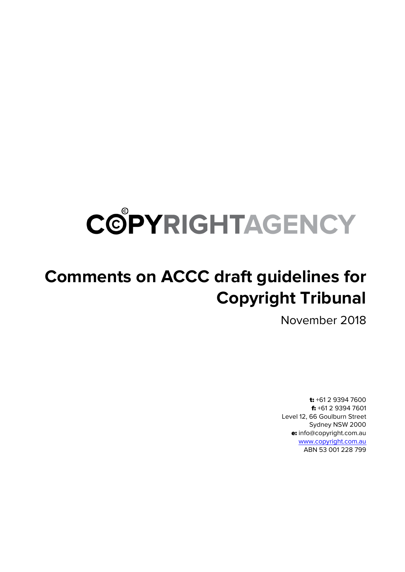# COPYRIGHTAGENCY

## **Comments on ACCC draft guidelines for Copyright Tribunal**

November 2018

t: +61 2 9394 7600 f: +61 2 9394 7601 Level 12, 66 Goulburn Street Sydney NSW 2000 e: info@copyright.com.au [www.copyright.com.au](http://www.copyright.com.au/) ABN 53 001 228 799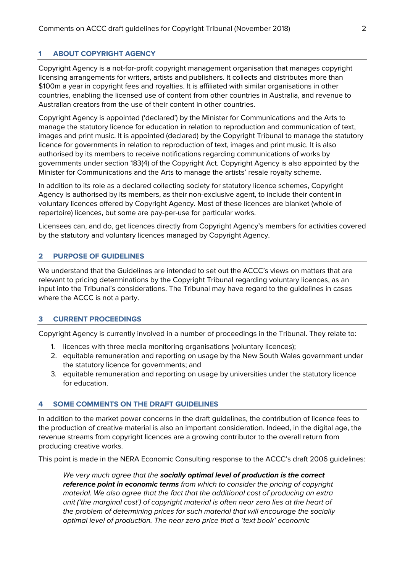### **1 ABOUT COPYRIGHT AGENCY**

Copyright Agency is a not-for-profit copyright management organisation that manages copyright licensing arrangements for writers, artists and publishers. It collects and distributes more than \$100m a year in copyright fees and royalties. It is affiliated with similar organisations in other countries, enabling the licensed use of content from other countries in Australia, and revenue to Australian creators from the use of their content in other countries.

Copyright Agency is appointed ('declared') by the Minister for Communications and the Arts to manage the statutory licence for education in relation to reproduction and communication of text, images and print music. It is appointed (declared) by the Copyright Tribunal to manage the statutory licence for governments in relation to reproduction of text, images and print music. It is also authorised by its members to receive notifications regarding communications of works by governments under section 183(4) of the Copyright Act. Copyright Agency is also appointed by the Minister for Communications and the Arts to manage the artists' resale royalty scheme.

In addition to its role as a declared collecting society for statutory licence schemes, Copyright Agency is authorised by its members, as their non-exclusive agent, to include their content in voluntary licences offered by Copyright Agency. Most of these licences are blanket (whole of repertoire) licences, but some are pay-per-use for particular works.

Licensees can, and do, get licences directly from Copyright Agency's members for activities covered by the statutory and voluntary licences managed by Copyright Agency.

#### **2 PURPOSE OF GUIDELINES**

We understand that the Guidelines are intended to set out the ACCC's views on matters that are relevant to pricing determinations by the Copyright Tribunal regarding voluntary licences, as an input into the Tribunal's considerations. The Tribunal may have regard to the guidelines in cases where the ACCC is not a party.

#### **3 CURRENT PROCEEDINGS**

Copyright Agency is currently involved in a number of proceedings in the Tribunal. They relate to:

- 1. licences with three media monitoring organisations (voluntary licences);
- 2. equitable remuneration and reporting on usage by the New South Wales government under the statutory licence for governments; and
- 3. equitable remuneration and reporting on usage by universities under the statutory licence for education.

#### **4 SOME COMMENTS ON THE DRAFT GUIDELINES**

In addition to the market power concerns in the draft guidelines, the contribution of licence fees to the production of creative material is also an important consideration. Indeed, in the digital age, the revenue streams from copyright licences are a growing contributor to the overall return from producing creative works.

This point is made in the NERA Economic Consulting response to the ACCC's draft 2006 guidelines:

We very much agree that the **socially optimal level of production is the correct reference point in economic terms** from which to consider the pricing of copyright material. We also agree that the fact that the additional cost of producing an extra unit ('the marginal cost') of copyright material is often near zero lies at the heart of the problem of determining prices for such material that will encourage the socially optimal level of production. The near zero price that a 'text book' economic